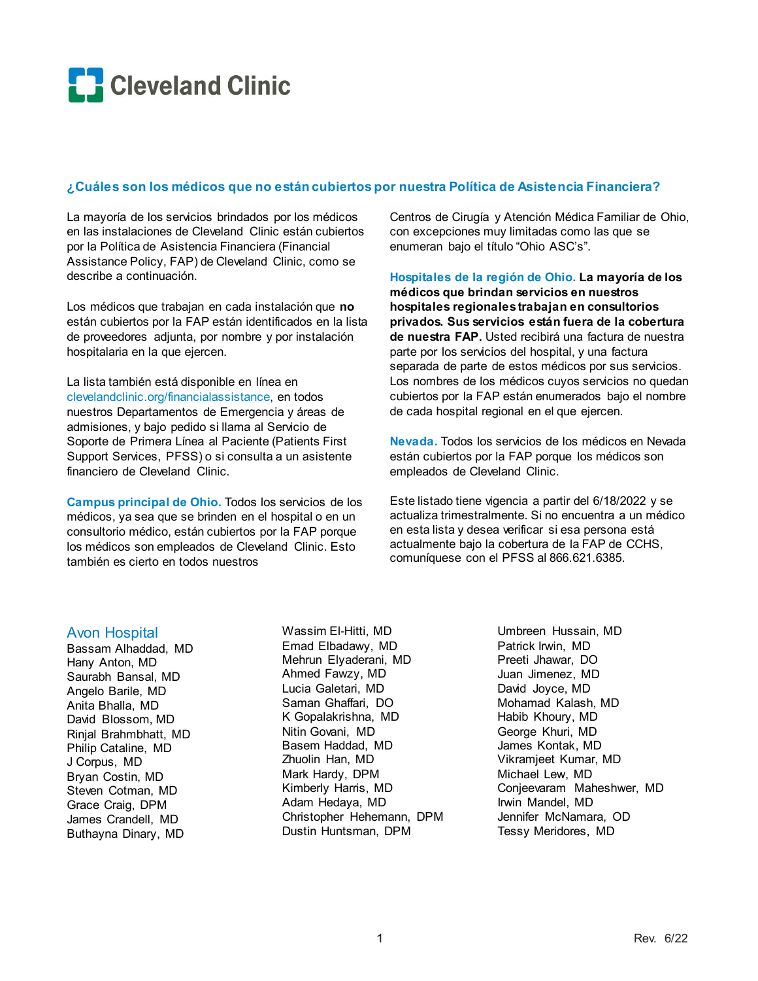

#### **¿Cuáles son los médicos que no están cubiertos por nuestra Política de Asistencia Financiera?**

La mayoría de los servicios brindados por los médicos en las instalaciones de Cleveland Clinic están cubiertos por la Política de Asistencia Financiera (Financial Assistance Policy, FAP) de Cleveland Clinic, como se describe a continuación.

Los médicos que trabajan en cada instalación que **no** están cubiertos por la FAP están identificados en la lista de proveedores adjunta, por nombre y por instalación hospitalaria en la que ejercen.

La lista también está disponible en línea en clevelandclinic.org/financialassistance, en todos nuestros Departamentos de Emergencia y áreas de admisiones, y bajo pedido si llama al Servicio de Soporte de Primera Línea al Paciente (Patients First Support Services, PFSS) o si consulta a un asistente financiero de Cleveland Clinic.

**Campus principal de Ohio.** Todos los servicios de los médicos, ya sea que se brinden en el hospital o en un consultorio médico, están cubiertos por la FAP porque los médicos son empleados de Cleveland Clinic. Esto también es cierto en todos nuestros

Centros de Cirugía y Atención Médica Familiar de Ohio, con excepciones muy limitadas como las que se enumeran bajo el título "Ohio ASC's".

**Hospitales de la región de Ohio. La mayoría de los médicos que brindan servicios en nuestros hospitales regionales trabajan en consultorios privados. Sus servicios están fuera de la cobertura de nuestra FAP.** Usted recibirá una factura de nuestra parte por los servicios del hospital, y una factura separada de parte de estos médicos por sus servicios. Los nombres de los médicos cuyos servicios no quedan cubiertos por la FAP están enumerados bajo el nombre de cada hospital regional en el que ejercen.

**Nevada.** Todos los servicios de los médicos en Nevada están cubiertos por la FAP porque los médicos son empleados de Cleveland Clinic.

Este listado tiene vigencia a partir del 6/18/2022 y se actualiza trimestralmente. Si no encuentra a un médico en esta lista y desea verificar si esa persona está actualmente bajo la cobertura de la FAP de CCHS, comuníquese con el PFSS al 866.621.6385.

#### Avon Hospital

Bassam Alhaddad, MD Hany Anton, MD Saurabh Bansal, MD Angelo Barile, MD Anita Bhalla, MD David Blossom, MD Rinjal Brahmbhatt, MD Philip Cataline, MD J Corpus, MD Bryan Costin, MD Steven Cotman, MD Grace Craig, DPM James Crandell, MD Buthayna Dinary, MD

Wassim El-Hitti, MD Emad Elbadawy, MD Mehrun Elyaderani, MD Ahmed Fawzy, MD Lucia Galetari, MD Saman Ghaffari, DO K Gopalakrishna, MD Nitin Govani, MD Basem Haddad, MD Zhuolin Han, MD Mark Hardy, DPM Kimberly Harris, MD Adam Hedaya, MD Christopher Hehemann, DPM Dustin Huntsman, DPM

Umbreen Hussain, MD Patrick Irwin, MD Preeti Jhawar, DO Juan Jimenez, MD David Joyce, MD Mohamad Kalash, MD Habib Khoury, MD George Khuri, MD James Kontak, MD Vikramjeet Kumar, MD Michael Lew, MD Conjeevaram Maheshwer, MD Irwin Mandel, MD Jennifer McNamara, OD Tessy Meridores, MD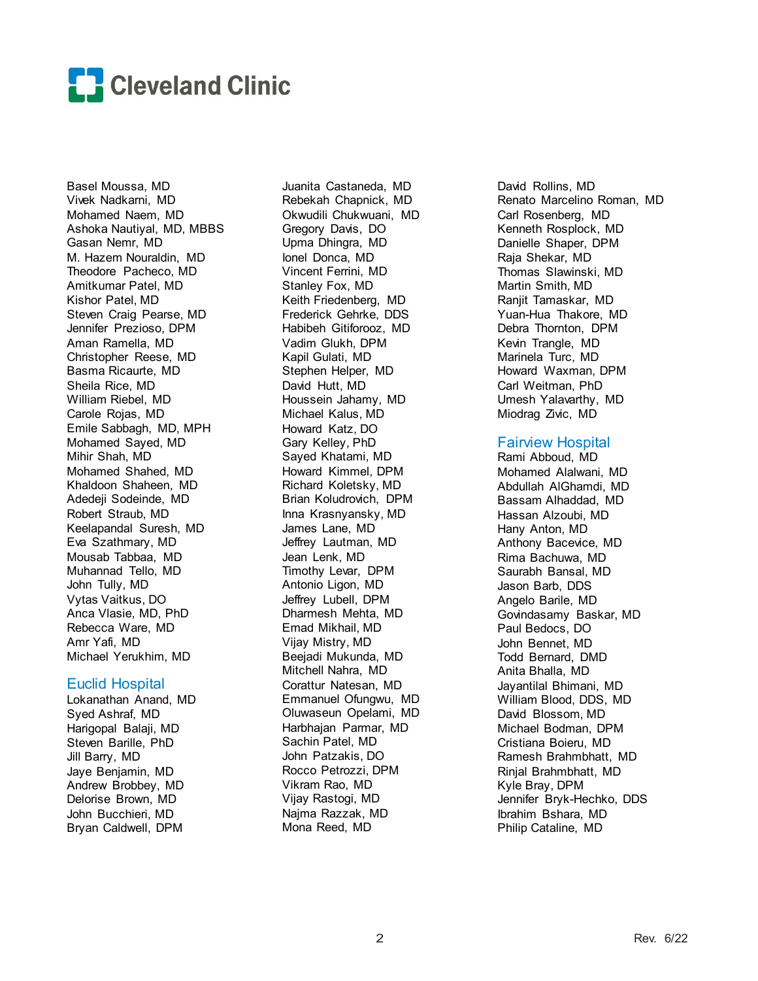

Basel Moussa, MD Vivek Nadkarni, MD Mohamed Naem, MD Ashoka Nautiyal, MD, MBBS Gasan Nemr, MD M. Hazem Nouraldin, MD Theodore Pacheco, MD Amitkumar Patel, MD Kishor Patel, MD Steven Craig Pearse, MD Jennifer Prezioso, DPM Aman Ramella, MD Christopher Reese, MD Basma Ricaurte, MD Sheila Rice, MD William Riebel, MD Carole Rojas, MD Emile Sabbagh, MD, MPH Mohamed Sayed, MD Mihir Shah, MD Mohamed Shahed, MD Khaldoon Shaheen, MD Adedeji Sodeinde, MD Robert Straub, MD Keelapandal Suresh, MD Eva Szathmary, MD Mousab Tabbaa, MD Muhannad Tello, MD John Tully, MD Vytas Vaitkus, DO Anca Vlasie, MD, PhD Rebecca Ware, MD Amr Yafi, MD Michael Yerukhim, MD

#### Euclid Hospital

Lokanathan Anand, MD Syed Ashraf, MD Harigopal Balaji, MD Steven Barille, PhD Jill Barry, MD Jaye Benjamin, MD Andrew Brobbey, MD Delorise Brown, MD John Bucchieri, MD Bryan Caldwell, DPM

Juanita Castaneda, MD Rebekah Chapnick, MD Okwudili Chukwuani, MD Gregory Davis, DO Upma Dhingra, MD Ionel Donca, MD Vincent Ferrini, MD Stanley Fox, MD Keith Friedenberg, MD Frederick Gehrke, DDS Habibeh Gitiforooz, MD Vadim Glukh, DPM Kapil Gulati, MD Stephen Helper, MD David Hutt, MD Houssein Jahamy, MD Michael Kalus, MD Howard Katz, DO Gary Kelley, PhD Sayed Khatami, MD Howard Kimmel, DPM Richard Koletsky, MD Brian Koludrovich, DPM Inna Krasnyansky, MD James Lane, MD Jeffrey Lautman, MD Jean Lenk, MD Timothy Levar, DPM Antonio Ligon, MD Jeffrey Lubell, DPM Dharmesh Mehta, MD Emad Mikhail, MD Vijay Mistry, MD Beejadi Mukunda, MD Mitchell Nahra, MD Corattur Natesan, MD Emmanuel Ofungwu, MD Oluwaseun Opelami, MD Harbhajan Parmar, MD Sachin Patel, MD John Patzakis, DO Rocco Petrozzi, DPM Vikram Rao, MD Vijay Rastogi, MD Najma Razzak, MD Mona Reed, MD

David Rollins, MD Renato Marcelino Roman, MD Carl Rosenberg, MD Kenneth Rosplock, MD Danielle Shaper, DPM Raja Shekar, MD Thomas Slawinski, MD Martin Smith, MD Ranjit Tamaskar, MD Yuan-Hua Thakore, MD Debra Thornton, DPM Kevin Trangle, MD Marinela Turc, MD Howard Waxman, DPM Carl Weitman, PhD Umesh Yalavarthy, MD Miodrag Zivic, MD

### Fairview Hospital

Rami Abboud, MD Mohamed Alalwani, MD Abdullah AlGhamdi, MD Bassam Alhaddad, MD Hassan Alzoubi, MD Hany Anton, MD Anthony Bacevice, MD Rima Bachuwa, MD Saurabh Bansal, MD Jason Barb, DDS Angelo Barile, MD Govindasamy Baskar, MD Paul Bedocs, DO John Bennet, MD Todd Bernard, DMD Anita Bhalla, MD Jayantilal Bhimani, MD William Blood, DDS, MD David Blossom, MD Michael Bodman, DPM Cristiana Boieru, MD Ramesh Brahmbhatt, MD Rinjal Brahmbhatt, MD Kyle Bray, DPM Jennifer Bryk-Hechko, DDS Ibrahim Bshara, MD Philip Cataline, MD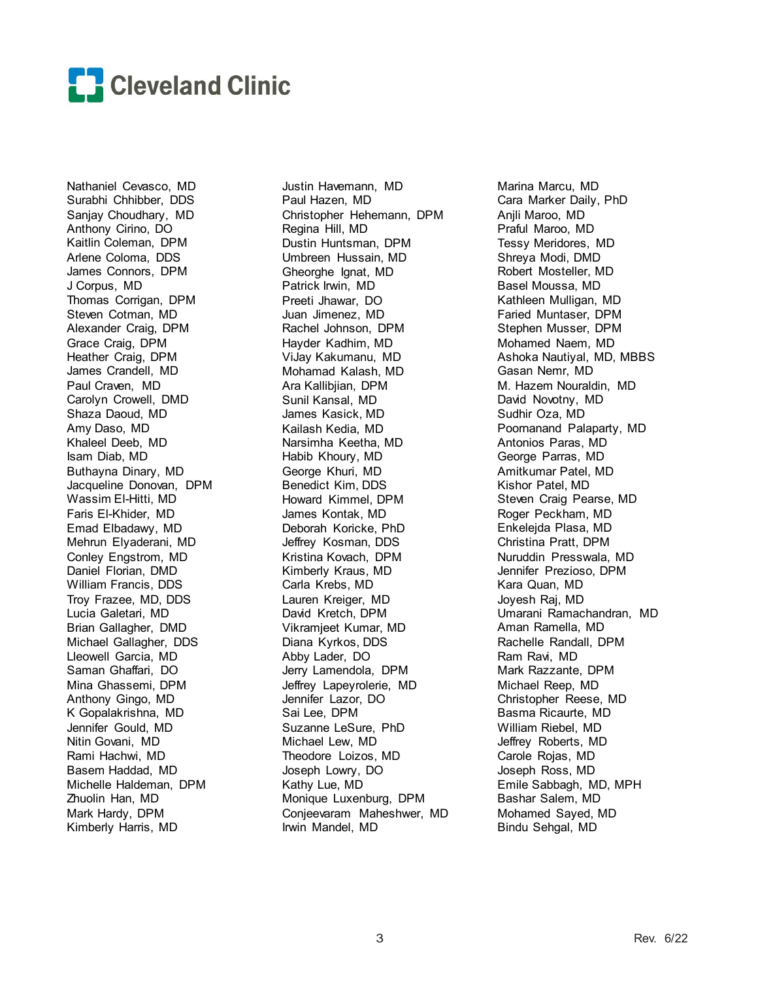

Nathaniel Cevasco, MD Surabhi Chhibber, DDS Sanjay Choudhary, MD Anthony Cirino, DO Kaitlin Coleman, DPM Arlene Coloma, DDS James Connors, DPM J Corpus, MD Thomas Corrigan, DPM Steven Cotman, MD Alexander Craig, DPM Grace Craig, DPM Heather Craig, DPM James Crandell, MD Paul Craven, MD Carolyn Crowell, DMD Shaza Daoud, MD Amy Daso, MD Khaleel Deeb, MD Isam Diab, MD Buthayna Dinary, MD Jacqueline Donovan, DPM Wassim El-Hitti, MD Faris El-Khider, MD Emad Elbadawy, MD Mehrun Elyaderani, MD Conley Engstrom, MD Daniel Florian, DMD William Francis, DDS Troy Frazee, MD, DDS Lucia Galetari, MD Brian Gallagher, DMD Michael Gallagher, DDS Lleowell Garcia, MD Saman Ghaffari, DO Mina Ghassemi, DPM Anthony Gingo, MD K Gopalakrishna, MD Jennifer Gould, MD Nitin Govani, MD Rami Hachwi, MD Basem Haddad, MD Michelle Haldeman, DPM Zhuolin Han, MD Mark Hardy, DPM Kimberly Harris, MD

Justin Havemann, MD Paul Hazen, MD Christopher Hehemann, DPM Regina Hill, MD Dustin Huntsman, DPM Umbreen Hussain, MD Gheorghe Ignat, MD Patrick Irwin, MD Preeti Jhawar, DO Juan Jimenez, MD Rachel Johnson, DPM Hayder Kadhim, MD ViJay Kakumanu, MD Mohamad Kalash, MD Ara Kallibjian, DPM Sunil Kansal, MD James Kasick, MD Kailash Kedia, MD Narsimha Keetha, MD Habib Khoury, MD George Khuri, MD Benedict Kim, DDS Howard Kimmel, DPM James Kontak, MD Deborah Koricke, PhD Jeffrey Kosman, DDS Kristina Kovach, DPM Kimberly Kraus, MD Carla Krebs, MD Lauren Kreiger, MD David Kretch, DPM Vikramjeet Kumar, MD Diana Kyrkos, DDS Abby Lader, DO Jerry Lamendola, DPM Jeffrey Lapeyrolerie, MD Jennifer Lazor, DO Sai Lee, DPM Suzanne LeSure, PhD Michael Lew, MD Theodore Loizos, MD Joseph Lowry, DO Kathy Lue, MD Monique Luxenburg, DPM Conjeevaram Maheshwer, MD Irwin Mandel, MD

Marina Marcu, MD Cara Marker Daily, PhD Anjli Maroo, MD Praful Maroo, MD Tessy Meridores, MD Shreya Modi, DMD Robert Mosteller, MD Basel Moussa, MD Kathleen Mulligan, MD Faried Muntaser, DPM Stephen Musser, DPM Mohamed Naem, MD Ashoka Nautiyal, MD, MBBS Gasan Nemr, MD M. Hazem Nouraldin, MD David Novotny, MD Sudhir Oza, MD Poornanand Palaparty, MD Antonios Paras, MD George Parras, MD Amitkumar Patel, MD Kishor Patel, MD Steven Craig Pearse, MD Roger Peckham, MD Enkelejda Plasa, MD Christina Pratt, DPM Nuruddin Presswala, MD Jennifer Prezioso, DPM Kara Quan, MD Joyesh Raj, MD Umarani Ramachandran, MD Aman Ramella, MD Rachelle Randall, DPM Ram Ravi, MD Mark Razzante, DPM Michael Reep, MD Christopher Reese, MD Basma Ricaurte, MD William Riebel, MD Jeffrey Roberts, MD Carole Rojas, MD Joseph Ross, MD Emile Sabbagh, MD, MPH Bashar Salem, MD Mohamed Sayed, MD Bindu Sehgal, MD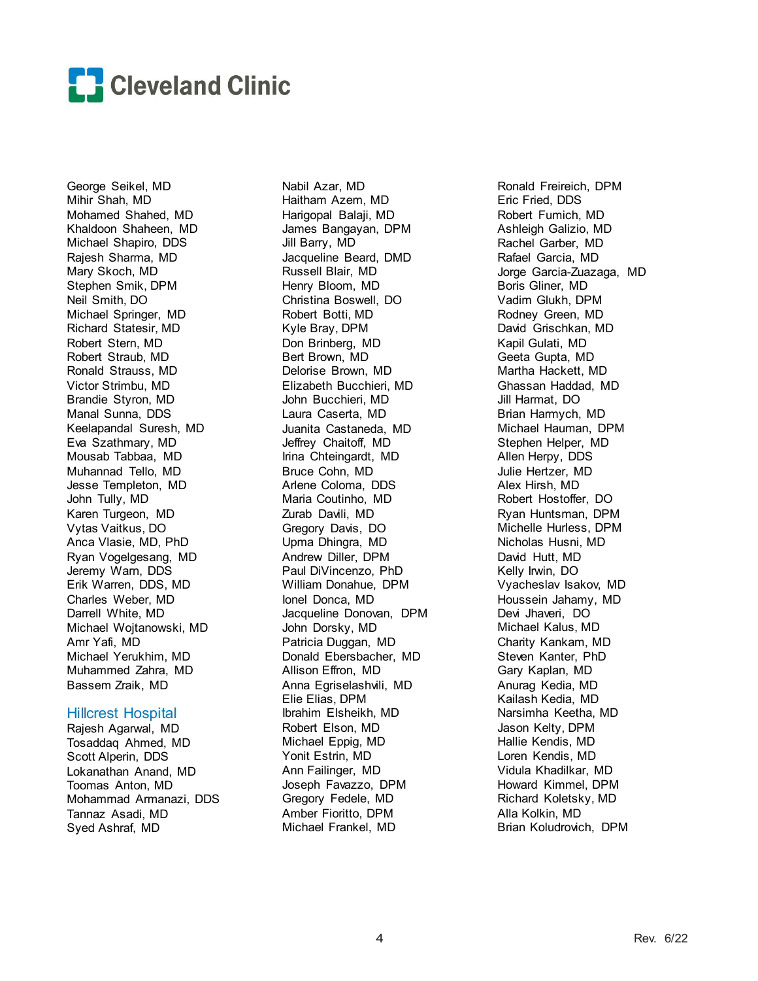

George Seikel, MD Mihir Shah, MD Mohamed Shahed, MD Khaldoon Shaheen, MD Michael Shapiro, DDS Rajesh Sharma, MD Mary Skoch, MD Stephen Smik, DPM Neil Smith, DO Michael Springer, MD Richard Statesir, MD Robert Stern, MD Robert Straub, MD Ronald Strauss, MD Victor Strimbu, MD Brandie Styron, MD Manal Sunna, DDS Keelapandal Suresh, MD Eva Szathmary, MD Mousab Tabbaa, MD Muhannad Tello, MD Jesse Templeton, MD John Tully, MD Karen Turgeon, MD Vytas Vaitkus, DO Anca Vlasie, MD, PhD Ryan Vogelgesang, MD Jeremy Warn, DDS Erik Warren, DDS, MD Charles Weber, MD Darrell White, MD Michael Wojtanowski, MD Amr Yafi, MD Michael Yerukhim, MD Muhammed Zahra, MD Bassem Zraik, MD

#### Hillcrest Hospital

Rajesh Agarwal, MD Tosaddaq Ahmed, MD Scott Alperin, DDS Lokanathan Anand, MD Toomas Anton, MD Mohammad Armanazi, DDS Tannaz Asadi, MD Syed Ashraf, MD

Nabil Azar, MD Haitham Azem, MD Harigopal Balaji, MD James Bangayan, DPM Jill Barry, MD Jacqueline Beard, DMD Russell Blair, MD Henry Bloom, MD Christina Boswell, DO Robert Botti, MD Kyle Bray, DPM Don Brinberg, MD Bert Brown, MD Delorise Brown, MD Elizabeth Bucchieri, MD John Bucchieri, MD Laura Caserta, MD Juanita Castaneda, MD Jeffrey Chaitoff, MD Irina Chteingardt, MD Bruce Cohn, MD Arlene Coloma, DDS Maria Coutinho, MD Zurab Davili, MD Gregory Davis, DO Upma Dhingra, MD Andrew Diller, DPM Paul DiVincenzo, PhD William Donahue, DPM Ionel Donca, MD Jacqueline Donovan, DPM John Dorsky, MD Patricia Duggan, MD Donald Ebersbacher, MD Allison Effron, MD Anna Egriselashvili, MD Elie Elias, DPM Ibrahim Elsheikh, MD Robert Elson, MD Michael Eppig, MD Yonit Estrin, MD Ann Failinger, MD Joseph Favazzo, DPM Gregory Fedele, MD Amber Fioritto, DPM Michael Frankel, MD

Ronald Freireich, DPM Eric Fried, DDS Robert Fumich, MD Ashleigh Galizio, MD Rachel Garber, MD Rafael Garcia, MD Jorge Garcia-Zuazaga, MD Boris Gliner, MD Vadim Glukh, DPM Rodney Green, MD David Grischkan, MD Kapil Gulati, MD Geeta Gupta, MD Martha Hackett, MD Ghassan Haddad, MD Jill Harmat, DO Brian Harmych, MD Michael Hauman, DPM Stephen Helper, MD Allen Herpy, DDS Julie Hertzer, MD Alex Hirsh, MD Robert Hostoffer, DO Ryan Huntsman, DPM Michelle Hurless, DPM Nicholas Husni, MD David Hutt, MD Kelly Irwin, DO Vyacheslav Isakov, MD Houssein Jahamy, MD Devi Jhaveri, DO Michael Kalus, MD Charity Kankam, MD Steven Kanter, PhD Gary Kaplan, MD Anurag Kedia, MD Kailash Kedia, MD Narsimha Keetha, MD Jason Kelty, DPM Hallie Kendis, MD Loren Kendis, MD Vidula Khadilkar, MD Howard Kimmel, DPM Richard Koletsky, MD Alla Kolkin, MD Brian Koludrovich, DPM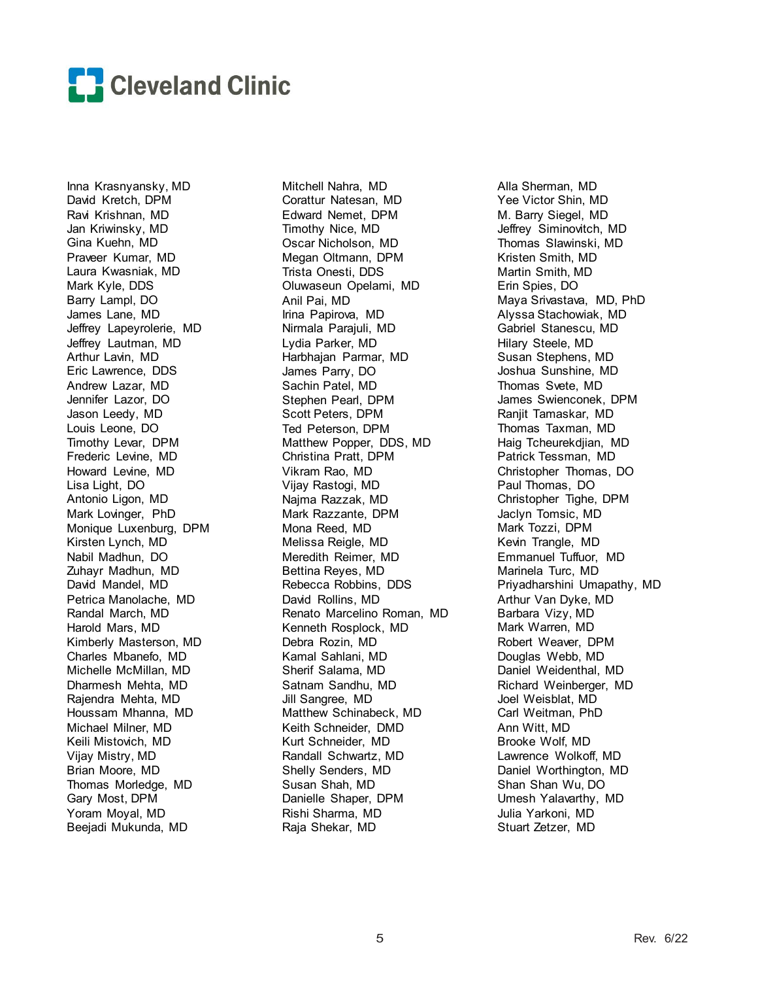

Inna Krasnyansky, MD David Kretch, DPM Ravi Krishnan, MD Jan Kriwinsky, MD Gina Kuehn, MD Praveer Kumar, MD Laura Kwasniak, MD Mark Kyle, DDS Barry Lampl, DO James Lane, MD Jeffrey Lapeyrolerie, MD Jeffrey Lautman, MD Arthur Lavin, MD Eric Lawrence, DDS Andrew Lazar, MD Jennifer Lazor, DO Jason Leedy, MD Louis Leone, DO Timothy Levar, DPM Frederic Levine, MD Howard Levine, MD Lisa Light, DO Antonio Ligon, MD Mark Lovinger, PhD Monique Luxenburg, DPM Kirsten Lynch, MD Nabil Madhun, DO Zuhayr Madhun, MD David Mandel, MD Petrica Manolache, MD Randal March, MD Harold Mars, MD Kimberly Masterson, MD Charles Mbanefo, MD Michelle McMillan, MD Dharmesh Mehta, MD Rajendra Mehta, MD Houssam Mhanna, MD Michael Milner, MD Keili Mistovich, MD Vijay Mistry, MD Brian Moore, MD Thomas Morledge, MD Gary Most, DPM Yoram Moyal, MD Beejadi Mukunda, MD

Mitchell Nahra, MD Corattur Natesan, MD Edward Nemet, DPM Timothy Nice, MD Oscar Nicholson, MD Megan Oltmann, DPM Trista Onesti, DDS Oluwaseun Opelami, MD Anil Pai, MD Irina Papirova, MD Nirmala Parajuli, MD Lydia Parker, MD Harbhajan Parmar, MD James Parry, DO Sachin Patel, MD Stephen Pearl, DPM Scott Peters, DPM Ted Peterson, DPM Matthew Popper, DDS, MD Christina Pratt, DPM Vikram Rao, MD Vijay Rastogi, MD Najma Razzak, MD Mark Razzante, DPM Mona Reed, MD Melissa Reigle, MD Meredith Reimer, MD Bettina Reyes, MD Rebecca Robbins, DDS David Rollins, MD Renato Marcelino Roman, MD Kenneth Rosplock, MD Debra Rozin, MD Kamal Sahlani, MD Sherif Salama, MD Satnam Sandhu, MD Jill Sangree, MD Matthew Schinabeck, MD Keith Schneider, DMD Kurt Schneider, MD Randall Schwartz, MD Shelly Senders, MD Susan Shah, MD Danielle Shaper, DPM Rishi Sharma, MD Raja Shekar, MD

Alla Sherman, MD Yee Victor Shin, MD M. Barry Siegel, MD Jeffrey Siminovitch, MD Thomas Slawinski, MD Kristen Smith, MD Martin Smith, MD Erin Spies, DO Maya Srivastava, MD, PhD Alyssa Stachowiak, MD Gabriel Stanescu, MD Hilary Steele, MD Susan Stephens, MD Joshua Sunshine, MD Thomas Svete, MD James Swienconek, DPM Ranjit Tamaskar, MD Thomas Taxman, MD Haig Tcheurekdjian, MD Patrick Tessman, MD Christopher Thomas, DO Paul Thomas, DO Christopher Tighe, DPM Jaclyn Tomsic, MD Mark Tozzi, DPM Kevin Trangle, MD Emmanuel Tuffuor, MD Marinela Turc, MD Priyadharshini Umapathy, MD Arthur Van Dyke, MD Barbara Vizy, MD Mark Warren, MD Robert Weaver, DPM Douglas Webb, MD Daniel Weidenthal, MD Richard Weinberger, MD Joel Weisblat, MD Carl Weitman, PhD Ann Witt, MD Brooke Wolf, MD Lawrence Wolkoff, MD Daniel Worthington, MD Shan Shan Wu, DO Umesh Yalavarthy, MD Julia Yarkoni, MD Stuart Zetzer, MD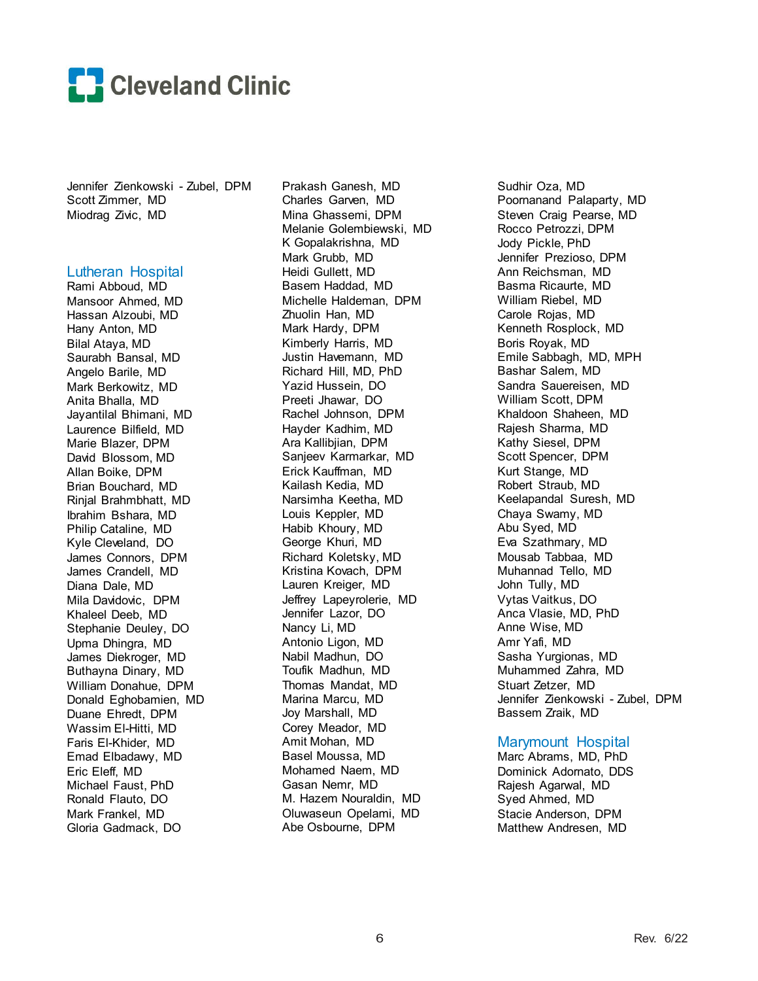

Jennifer Zienkowski - Zubel, DPM Scott Zimmer, MD Miodrag Zivic, MD

#### Lutheran Hospital

Rami Abboud, MD Mansoor Ahmed, MD Hassan Alzoubi, MD Hany Anton, MD Bilal Ataya, MD Saurabh Bansal, MD Angelo Barile, MD Mark Berkowitz, MD Anita Bhalla, MD Jayantilal Bhimani, MD Laurence Bilfield, MD Marie Blazer, DPM David Blossom, MD Allan Boike, DPM Brian Bouchard, MD Rinjal Brahmbhatt, MD Ibrahim Bshara, MD Philip Cataline, MD Kyle Cleveland, DO James Connors, DPM James Crandell, MD Diana Dale, MD Mila Davidovic, DPM Khaleel Deeb, MD Stephanie Deuley, DO Upma Dhingra, MD James Diekroger, MD Buthayna Dinary, MD William Donahue, DPM Donald Eghobamien, MD Duane Ehredt, DPM Wassim El-Hitti, MD Faris El-Khider, MD Emad Elbadawy, MD Eric Eleff, MD Michael Faust, PhD Ronald Flauto, DO Mark Frankel, MD Gloria Gadmack, DO

Prakash Ganesh, MD Charles Garven, MD Mina Ghassemi, DPM Melanie Golembiewski, MD K Gopalakrishna, MD Mark Grubb, MD Heidi Gullett, MD Basem Haddad, MD Michelle Haldeman, DPM Zhuolin Han, MD Mark Hardy, DPM Kimberly Harris, MD Justin Havemann, MD Richard Hill, MD, PhD Yazid Hussein, DO Preeti Jhawar, DO Rachel Johnson, DPM Hayder Kadhim, MD Ara Kallibjian, DPM Sanjeev Karmarkar, MD Erick Kauffman, MD Kailash Kedia, MD Narsimha Keetha, MD Louis Keppler, MD Habib Khoury, MD George Khuri, MD Richard Koletsky, MD Kristina Kovach, DPM Lauren Kreiger, MD Jeffrey Lapeyrolerie, MD Jennifer Lazor, DO Nancy Li, MD Antonio Ligon, MD Nabil Madhun, DO Toufik Madhun, MD Thomas Mandat, MD Marina Marcu, MD Joy Marshall, MD Corey Meador, MD Amit Mohan, MD Basel Moussa, MD Mohamed Naem, MD Gasan Nemr, MD M. Hazem Nouraldin, MD Oluwaseun Opelami, MD Abe Osbourne, DPM

Sudhir Oza, MD Poornanand Palaparty, MD Steven Craig Pearse, MD Rocco Petrozzi, DPM Jody Pickle, PhD Jennifer Prezioso, DPM Ann Reichsman, MD Basma Ricaurte, MD William Riebel, MD Carole Rojas, MD Kenneth Rosplock, MD Boris Royak, MD Emile Sabbagh, MD, MPH Bashar Salem, MD Sandra Sauereisen, MD William Scott, DPM Khaldoon Shaheen, MD Rajesh Sharma, MD Kathy Siesel, DPM Scott Spencer, DPM Kurt Stange, MD Robert Straub, MD Keelapandal Suresh, MD Chaya Swamy, MD Abu Syed, MD Eva Szathmary, MD Mousab Tabbaa, MD Muhannad Tello, MD John Tully, MD Vytas Vaitkus, DO Anca Vlasie, MD, PhD Anne Wise, MD Amr Yafi, MD Sasha Yurgionas, MD Muhammed Zahra, MD Stuart Zetzer, MD Jennifer Zienkowski - Zubel, DPM Bassem Zraik, MD

#### Marymount Hospital

Marc Abrams, MD, PhD Dominick Adornato, DDS Rajesh Agarwal, MD Syed Ahmed, MD Stacie Anderson, DPM Matthew Andresen, MD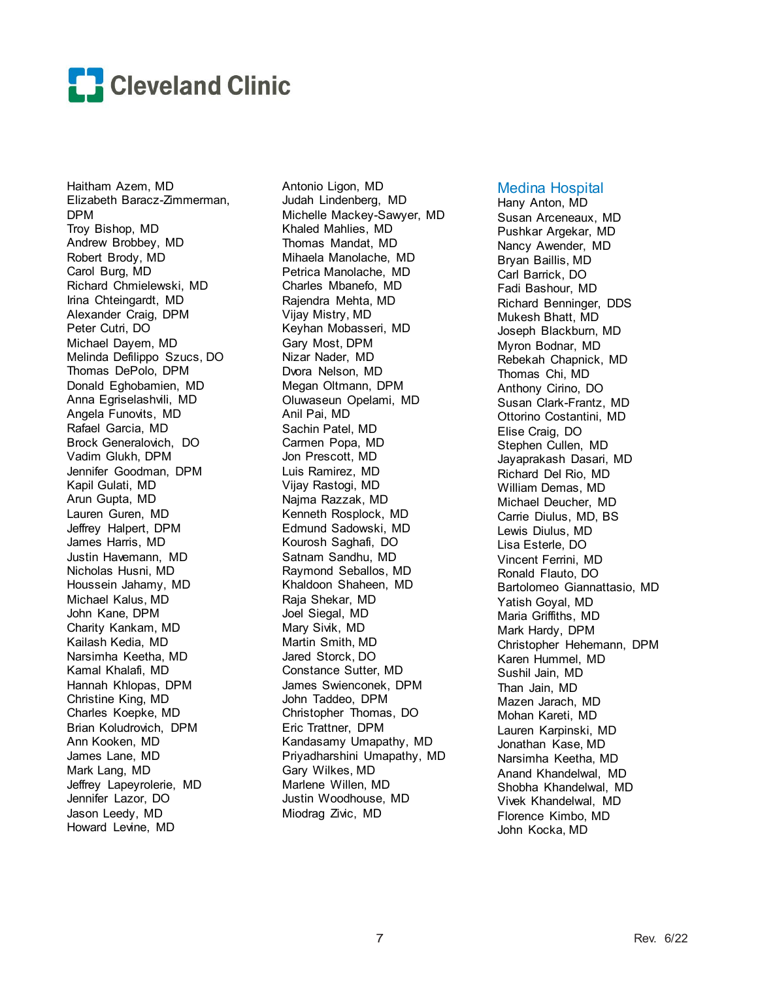

Haitham Azem, MD Elizabeth Baracz-Zimmerman, DPM Troy Bishop, MD Andrew Brobbey, MD Robert Brody, MD Carol Burg, MD Richard Chmielewski, MD Irina Chteingardt, MD Alexander Craig, DPM Peter Cutri, DO Michael Dayem, MD Melinda Defilippo Szucs, DO Thomas DePolo, DPM Donald Eghobamien, MD Anna Egriselashvili, MD Angela Funovits, MD Rafael Garcia, MD Brock Generalovich, DO Vadim Glukh, DPM Jennifer Goodman, DPM Kapil Gulati, MD Arun Gupta, MD Lauren Guren, MD Jeffrey Halpert, DPM James Harris, MD Justin Havemann, MD Nicholas Husni, MD Houssein Jahamy, MD Michael Kalus, MD John Kane, DPM Charity Kankam, MD Kailash Kedia, MD Narsimha Keetha, MD Kamal Khalafi, MD Hannah Khlopas, DPM Christine King, MD Charles Koepke, MD Brian Koludrovich, DPM Ann Kooken, MD James Lane, MD Mark Lang, MD Jeffrey Lapeyrolerie, MD Jennifer Lazor, DO Jason Leedy, MD Howard Levine, MD

Antonio Ligon, MD Judah Lindenberg, MD Michelle Mackey-Sawyer, MD Khaled Mahlies, MD Thomas Mandat, MD Mihaela Manolache, MD Petrica Manolache, MD Charles Mbanefo, MD Rajendra Mehta, MD Vijay Mistry, MD Keyhan Mobasseri, MD Gary Most, DPM Nizar Nader, MD Dvora Nelson, MD Megan Oltmann, DPM Oluwaseun Opelami, MD Anil Pai, MD Sachin Patel, MD Carmen Popa, MD Jon Prescott, MD Luis Ramirez, MD Vijay Rastogi, MD Najma Razzak, MD Kenneth Rosplock, MD Edmund Sadowski, MD Kourosh Saghafi, DO Satnam Sandhu, MD Raymond Seballos, MD Khaldoon Shaheen, MD Raja Shekar, MD Joel Siegal, MD Mary Sivik, MD Martin Smith, MD Jared Storck, DO Constance Sutter, MD James Swienconek, DPM John Taddeo, DPM Christopher Thomas, DO Eric Trattner, DPM Kandasamy Umapathy, MD Priyadharshini Umapathy, MD Gary Wilkes, MD Marlene Willen, MD Justin Woodhouse, MD Miodrag Zivic, MD

#### Medina Hospital

Hany Anton, MD Susan Arceneaux, MD Pushkar Argekar, MD Nancy Awender, MD Bryan Baillis, MD Carl Barrick, DO Fadi Bashour, MD Richard Benninger, DDS Mukesh Bhatt, MD Joseph Blackburn, MD Myron Bodnar, MD Rebekah Chapnick, MD Thomas Chi, MD Anthony Cirino, DO Susan Clark-Frantz, MD Ottorino Costantini, MD Elise Craig, DO Stephen Cullen, MD Jayaprakash Dasari, MD Richard Del Rio, MD William Demas, MD Michael Deucher, MD Carrie Diulus, MD, BS Lewis Diulus, MD Lisa Esterle, DO Vincent Ferrini, MD Ronald Flauto, DO Bartolomeo Giannattasio, MD Yatish Goyal, MD Maria Griffiths, MD Mark Hardy, DPM Christopher Hehemann, DPM Karen Hummel, MD Sushil Jain, MD Than Jain, MD Mazen Jarach, MD Mohan Kareti, MD Lauren Karpinski, MD Jonathan Kase, MD Narsimha Keetha, MD Anand Khandelwal, MD Shobha Khandelwal, MD Vivek Khandelwal, MD Florence Kimbo, MD John Kocka, MD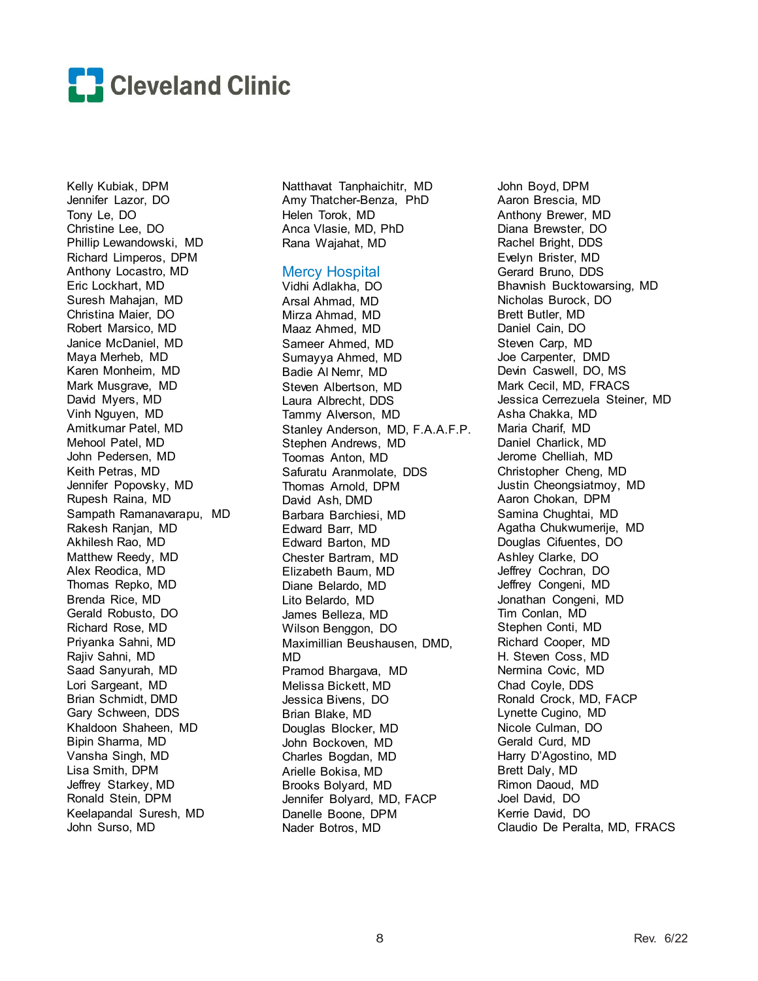

Kelly Kubiak, DPM Jennifer Lazor, DO Tony Le, DO Christine Lee, DO Phillip Lewandowski, MD Richard Limperos, DPM Anthony Locastro, MD Eric Lockhart, MD Suresh Mahajan, MD Christina Maier, DO Robert Marsico, MD Janice McDaniel, MD Maya Merheb, MD Karen Monheim, MD Mark Musgrave, MD David Myers, MD Vinh Nguyen, MD Amitkumar Patel, MD Mehool Patel, MD John Pedersen, MD Keith Petras, MD Jennifer Popovsky, MD Rupesh Raina, MD Sampath Ramanavarapu, MD Rakesh Ranjan, MD Akhilesh Rao, MD Matthew Reedy, MD Alex Reodica, MD Thomas Repko, MD Brenda Rice, MD Gerald Robusto, DO Richard Rose, MD Priyanka Sahni, MD Rajiv Sahni, MD Saad Sanyurah, MD Lori Sargeant, MD Brian Schmidt, DMD Gary Schween, DDS Khaldoon Shaheen, MD Bipin Sharma, MD Vansha Singh, MD Lisa Smith, DPM Jeffrey Starkey, MD Ronald Stein, DPM Keelapandal Suresh, MD John Surso, MD

Natthavat Tanphaichitr, MD Amy Thatcher-Benza, PhD Helen Torok, MD Anca Vlasie, MD, PhD Rana Wajahat, MD

#### Mercy Hospital

Vidhi Adlakha, DO Arsal Ahmad, MD Mirza Ahmad, MD Maaz Ahmed, MD Sameer Ahmed, MD Sumayya Ahmed, MD Badie Al Nemr, MD Steven Albertson, MD Laura Albrecht, DDS Tammy Alverson, MD Stanley Anderson, MD, F.A.A.F.P. Stephen Andrews, MD Toomas Anton, MD Safuratu Aranmolate, DDS Thomas Arnold, DPM David Ash, DMD Barbara Barchiesi, MD Edward Barr, MD Edward Barton, MD Chester Bartram, MD Elizabeth Baum, MD Diane Belardo, MD Lito Belardo, MD James Belleza, MD Wilson Benggon, DO Maximillian Beushausen, DMD, MD Pramod Bhargava, MD Melissa Bickett, MD Jessica Bivens, DO Brian Blake, MD Douglas Blocker, MD John Bockoven, MD Charles Bogdan, MD Arielle Bokisa, MD Brooks Bolyard, MD Jennifer Bolyard, MD, FACP Danelle Boone, DPM Nader Botros, MD

John Boyd, DPM Aaron Brescia, MD Anthony Brewer, MD Diana Brewster, DO Rachel Bright, DDS Evelyn Brister, MD Gerard Bruno, DDS Bhavnish Bucktowarsing, MD Nicholas Burock, DO Brett Butler, MD Daniel Cain, DO Steven Carp, MD Joe Carpenter, DMD Devin Caswell, DO, MS Mark Cecil, MD, FRACS Jessica Cerrezuela Steiner, MD Asha Chakka, MD Maria Charif, MD Daniel Charlick, MD Jerome Chelliah, MD Christopher Cheng, MD Justin Cheongsiatmoy, MD Aaron Chokan, DPM Samina Chughtai, MD Agatha Chukwumerije, MD Douglas Cifuentes, DO Ashley Clarke, DO Jeffrey Cochran, DO Jeffrey Congeni, MD Jonathan Congeni, MD Tim Conlan, MD Stephen Conti, MD Richard Cooper, MD H. Steven Coss, MD Nermina Covic, MD Chad Coyle, DDS Ronald Crock, MD, FACP Lynette Cugino, MD Nicole Culman, DO Gerald Curd, MD Harry D'Agostino, MD Brett Daly, MD Rimon Daoud, MD Joel David, DO Kerrie David, DO Claudio De Peralta, MD, FRACS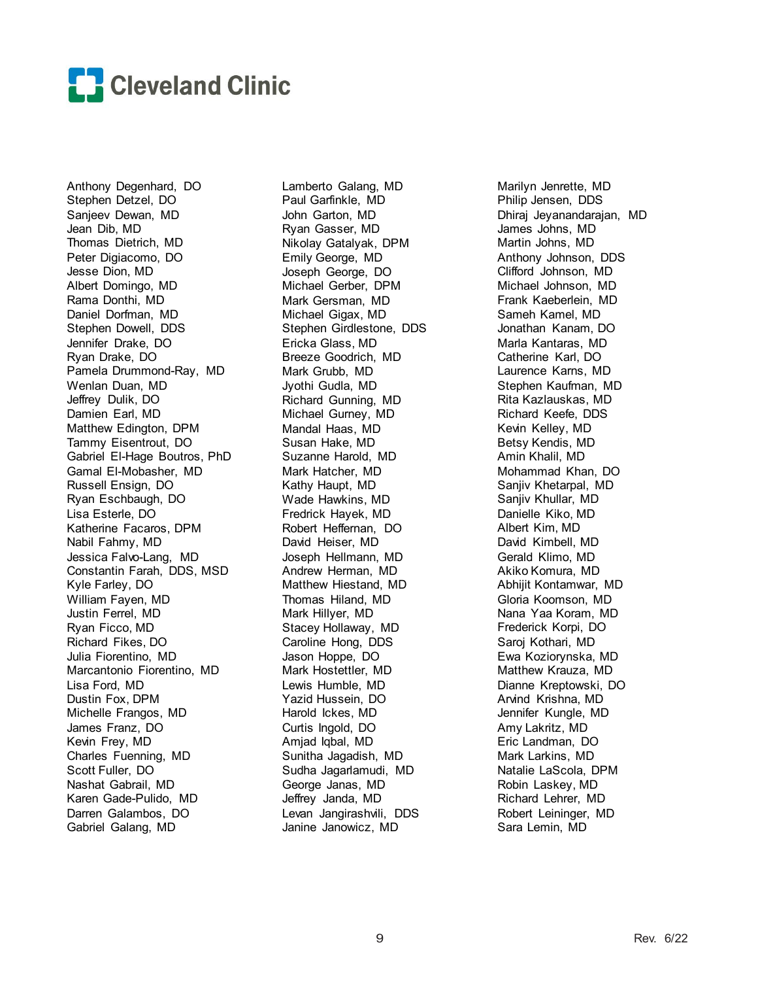

Anthony Degenhard, DO Stephen Detzel, DO Sanjeev Dewan, MD Jean Dib, MD Thomas Dietrich, MD Peter Digiacomo, DO Jesse Dion, MD Albert Domingo, MD Rama Donthi, MD Daniel Dorfman, MD Stephen Dowell, DDS Jennifer Drake, DO Ryan Drake, DO Pamela Drummond-Ray, MD Wenlan Duan, MD Jeffrey Dulik, DO Damien Earl, MD Matthew Edington, DPM Tammy Eisentrout, DO Gabriel El-Hage Boutros, PhD Gamal El-Mobasher, MD Russell Ensign, DO Ryan Eschbaugh, DO Lisa Esterle, DO Katherine Facaros, DPM Nabil Fahmy, MD Jessica Falvo-Lang, MD Constantin Farah, DDS, MSD Kyle Farley, DO William Fayen, MD Justin Ferrel, MD Ryan Ficco, MD Richard Fikes, DO Julia Fiorentino, MD Marcantonio Fiorentino, MD Lisa Ford, MD Dustin Fox, DPM Michelle Frangos, MD James Franz, DO Kevin Frey, MD Charles Fuenning, MD Scott Fuller, DO Nashat Gabrail, MD Karen Gade-Pulido, MD Darren Galambos, DO Gabriel Galang, MD

Lamberto Galang, MD Paul Garfinkle, MD John Garton, MD Ryan Gasser, MD Nikolay Gatalyak, DPM Emily George, MD Joseph George, DO Michael Gerber, DPM Mark Gersman, MD Michael Gigax, MD Stephen Girdlestone, DDS Ericka Glass, MD Breeze Goodrich, MD Mark Grubb, MD Jyothi Gudla, MD Richard Gunning, MD Michael Gurney, MD Mandal Haas, MD Susan Hake, MD Suzanne Harold, MD Mark Hatcher, MD Kathy Haupt, MD Wade Hawkins, MD Fredrick Hayek, MD Robert Heffernan, DO David Heiser, MD Joseph Hellmann, MD Andrew Herman, MD Matthew Hiestand, MD Thomas Hiland, MD Mark Hillyer, MD Stacey Hollaway, MD Caroline Hong, DDS Jason Hoppe, DO Mark Hostettler, MD Lewis Humble, MD Yazid Hussein, DO Harold Ickes, MD Curtis Ingold, DO Amjad Iqbal, MD Sunitha Jagadish, MD Sudha Jagarlamudi, MD George Janas, MD Jeffrey Janda, MD Levan Jangirashvili, DDS Janine Janowicz, MD

Marilyn Jenrette, MD Philip Jensen, DDS Dhiraj Jeyanandarajan, MD James Johns, MD Martin Johns, MD Anthony Johnson, DDS Clifford Johnson, MD Michael Johnson, MD Frank Kaeberlein, MD Sameh Kamel, MD Jonathan Kanam, DO Marla Kantaras, MD Catherine Karl, DO Laurence Karns, MD Stephen Kaufman, MD Rita Kazlauskas, MD Richard Keefe, DDS Kevin Kelley, MD Betsy Kendis, MD Amin Khalil, MD Mohammad Khan, DO Sanjiv Khetarpal, MD Sanjiv Khullar, MD Danielle Kiko, MD Albert Kim, MD David Kimbell, MD Gerald Klimo, MD Akiko Komura, MD Abhijit Kontamwar, MD Gloria Koomson, MD Nana Yaa Koram, MD Frederick Korpi, DO Saroj Kothari, MD Ewa Koziorynska, MD Matthew Krauza, MD Dianne Kreptowski, DO Arvind Krishna, MD Jennifer Kungle, MD Amy Lakritz, MD Eric Landman, DO Mark Larkins, MD Natalie LaScola, DPM Robin Laskey, MD Richard Lehrer, MD Robert Leininger, MD Sara Lemin, MD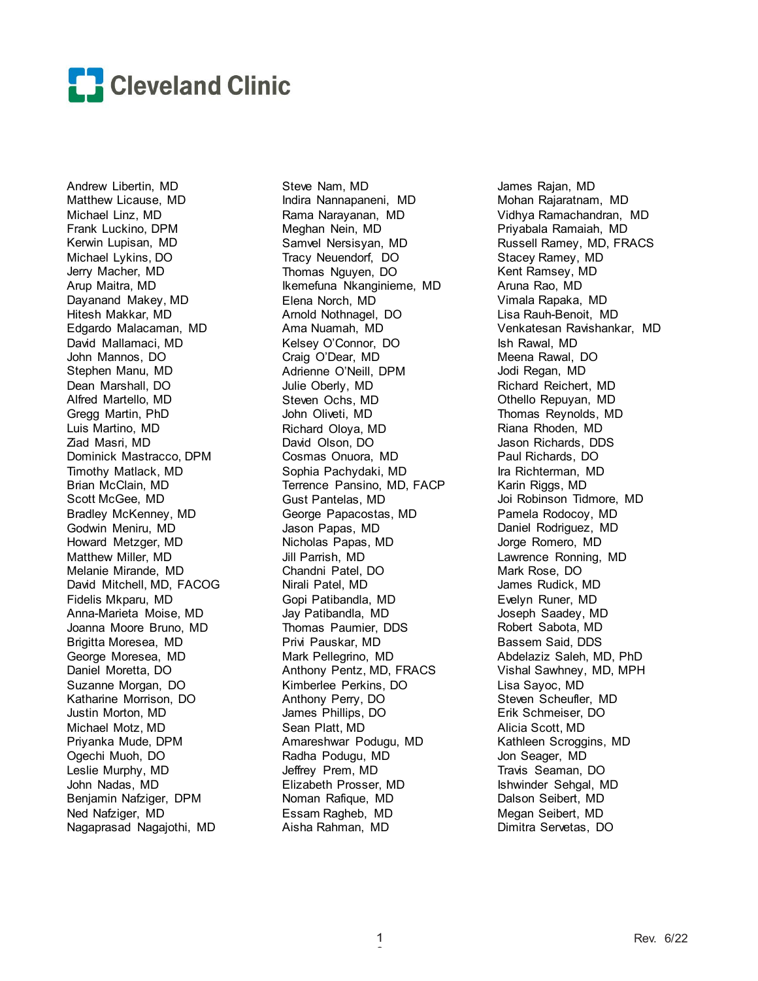

Andrew Libertin, MD Matthew Licause, MD Michael Linz, MD Frank Luckino, DPM Kerwin Lupisan, MD Michael Lykins, DO Jerry Macher, MD Arup Maitra, MD Dayanand Makey, MD Hitesh Makkar, MD Edgardo Malacaman, MD David Mallamaci, MD John Mannos, DO Stephen Manu, MD Dean Marshall, DO Alfred Martello, MD Gregg Martin, PhD Luis Martino, MD Ziad Masri, MD Dominick Mastracco, DPM Timothy Matlack, MD Brian McClain, MD Scott McGee, MD Bradley McKenney, MD Godwin Meniru, MD Howard Metzger, MD Matthew Miller, MD Melanie Mirande, MD David Mitchell, MD, FACOG Fidelis Mkparu, MD Anna-Marieta Moise, MD Joanna Moore Bruno, MD Brigitta Moresea, MD George Moresea, MD Daniel Moretta, DO Suzanne Morgan, DO Katharine Morrison, DO Justin Morton, MD Michael Motz, MD Priyanka Mude, DPM Ogechi Muoh, DO Leslie Murphy, MD John Nadas, MD Benjamin Nafziger, DPM Ned Nafziger, MD Nagaprasad Nagajothi, MD

Steve Nam, MD Indira Nannapaneni, MD Rama Narayanan, MD Meghan Nein, MD Samvel Nersisyan, MD Tracy Neuendorf, DO Thomas Nguyen, DO Ikemefuna Nkanginieme, MD Elena Norch, MD Arnold Nothnagel, DO Ama Nuamah, MD Kelsey O'Connor, DO Craig O'Dear, MD Adrienne O'Neill, DPM Julie Oberly, MD Steven Ochs, MD John Oliveti, MD Richard Oloya, MD David Olson, DO Cosmas Onuora, MD Sophia Pachydaki, MD Terrence Pansino, MD, FACP Gust Pantelas, MD George Papacostas, MD Jason Papas, MD Nicholas Papas, MD Jill Parrish, MD Chandni Patel, DO Nirali Patel, MD Gopi Patibandla, MD Jay Patibandla, MD Thomas Paumier, DDS Privi Pauskar, MD Mark Pellegrino, MD Anthony Pentz, MD, FRACS Kimberlee Perkins, DO Anthony Perry, DO James Phillips, DO Sean Platt, MD Amareshwar Podugu, MD Radha Podugu, MD Jeffrey Prem, MD Elizabeth Prosser, MD Noman Rafique, MD Essam Ragheb, MD Aisha Rahman, MD

James Rajan, MD Mohan Rajaratnam, MD Vidhya Ramachandran, MD Priyabala Ramaiah, MD Russell Ramey, MD, FRACS Stacey Ramey, MD Kent Ramsey, MD Aruna Rao, MD Vimala Rapaka, MD Lisa Rauh-Benoit, MD Venkatesan Ravishankar, MD Ish Rawal, MD Meena Rawal, DO Jodi Regan, MD Richard Reichert, MD Othello Repuyan, MD Thomas Reynolds, MD Riana Rhoden, MD Jason Richards, DDS Paul Richards, DO Ira Richterman, MD Karin Riggs, MD Joi Robinson Tidmore, MD Pamela Rodocoy, MD Daniel Rodriguez, MD Jorge Romero, MD Lawrence Ronning, MD Mark Rose, DO James Rudick, MD Evelyn Runer, MD Joseph Saadey, MD Robert Sabota, MD Bassem Said, DDS Abdelaziz Saleh, MD, PhD Vishal Sawhney, MD, MPH Lisa Sayoc, MD Steven Scheufler, MD Erik Schmeiser, DO Alicia Scott, MD Kathleen Scroggins, MD Jon Seager, MD Travis Seaman, DO Ishwinder Sehgal, MD Dalson Seibert, MD Megan Seibert, MD Dimitra Servetas, DO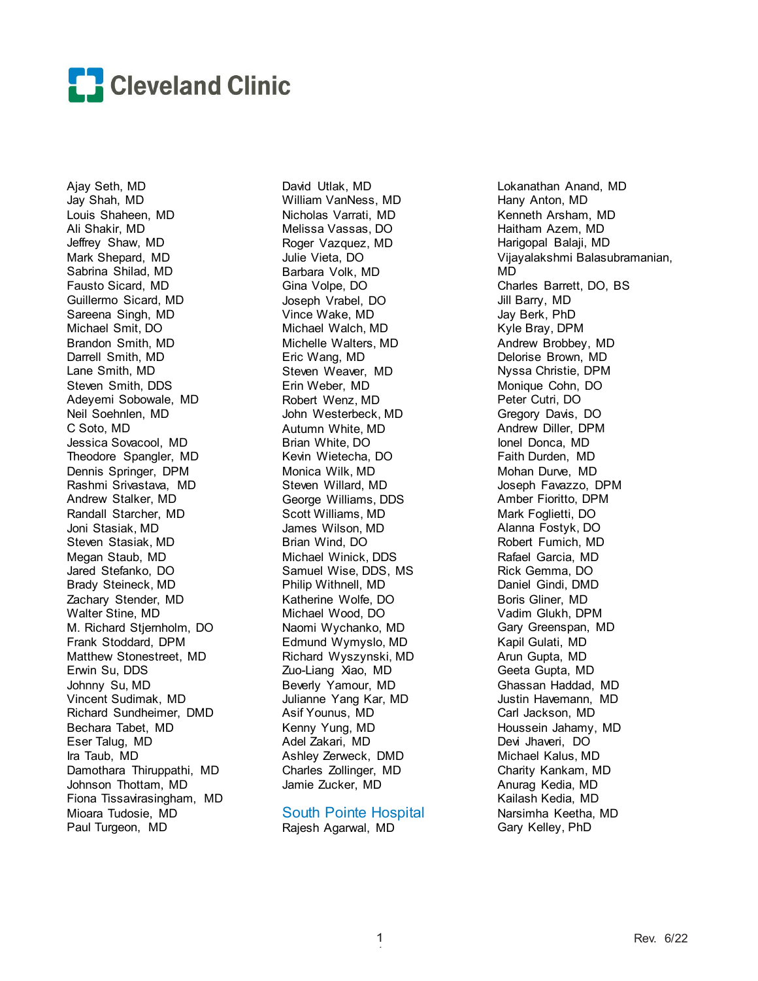

Ajay Seth, MD Jay Shah, MD Louis Shaheen, MD Ali Shakir, MD Jeffrey Shaw, MD Mark Shepard, MD Sabrina Shilad, MD Fausto Sicard, MD Guillermo Sicard, MD Sareena Singh, MD Michael Smit, DO Brandon Smith, MD Darrell Smith, MD Lane Smith, MD Steven Smith, DDS Adeyemi Sobowale, MD Neil Soehnlen, MD C Soto, MD Jessica Sovacool, MD Theodore Spangler, MD Dennis Springer, DPM Rashmi Srivastava, MD Andrew Stalker, MD Randall Starcher, MD Joni Stasiak, MD Steven Stasiak, MD Megan Staub, MD Jared Stefanko, DO Brady Steineck, MD Zachary Stender, MD Walter Stine, MD M. Richard Stjernholm, DO Frank Stoddard, DPM Matthew Stonestreet, MD Erwin Su, DDS Johnny Su, MD Vincent Sudimak, MD Richard Sundheimer, DMD Bechara Tabet, MD Eser Talug, MD Ira Taub, MD Damothara Thiruppathi, MD Johnson Thottam, MD Fiona Tissavirasingham, MD Mioara Tudosie, MD Paul Turgeon, MD

David Utlak, MD William VanNess, MD Nicholas Varrati, MD Melissa Vassas, DO Roger Vazquez, MD Julie Vieta, DO Barbara Volk, MD Gina Volpe, DO Joseph Vrabel, DO Vince Wake, MD Michael Walch, MD Michelle Walters, MD Eric Wang, MD Steven Weaver, MD Erin Weber, MD Robert Wenz, MD John Westerbeck, MD Autumn White, MD Brian White, DO Kevin Wietecha, DO Monica Wilk, MD Steven Willard, MD George Williams, DDS Scott Williams, MD James Wilson, MD Brian Wind, DO Michael Winick, DDS Samuel Wise, DDS, MS Philip Withnell, MD Katherine Wolfe, DO Michael Wood, DO Naomi Wychanko, MD Edmund Wymyslo, MD Richard Wyszynski, MD Zuo-Liang Xiao, MD Beverly Yamour, MD Julianne Yang Kar, MD Asif Younus, MD Kenny Yung, MD Adel Zakari, MD Ashley Zerweck, DMD Charles Zollinger, MD Jamie Zucker, MD

South Pointe Hospital Rajesh Agarwal, MD

Lokanathan Anand, MD Hany Anton, MD Kenneth Arsham, MD Haitham Azem, MD Harigopal Balaji, MD Vijayalakshmi Balasubramanian, MD Charles Barrett, DO, BS Jill Barry, MD Jay Berk, PhD Kyle Bray, DPM Andrew Brobbey, MD Delorise Brown, MD Nyssa Christie, DPM Monique Cohn, DO Peter Cutri, DO Gregory Davis, DO Andrew Diller, DPM Ionel Donca, MD Faith Durden, MD Mohan Durve, MD Joseph Favazzo, DPM Amber Fioritto, DPM Mark Foglietti, DO Alanna Fostyk, DO Robert Fumich, MD Rafael Garcia, MD Rick Gemma, DO Daniel Gindi, DMD Boris Gliner, MD Vadim Glukh, DPM Gary Greenspan, MD Kapil Gulati, MD Arun Gupta, MD Geeta Gupta, MD Ghassan Haddad, MD Justin Havemann, MD Carl Jackson, MD Houssein Jahamy, MD Devi Jhaveri, DO Michael Kalus, MD Charity Kankam, MD Anurag Kedia, MD Kailash Kedia, MD Narsimha Keetha, MD Gary Kelley, PhD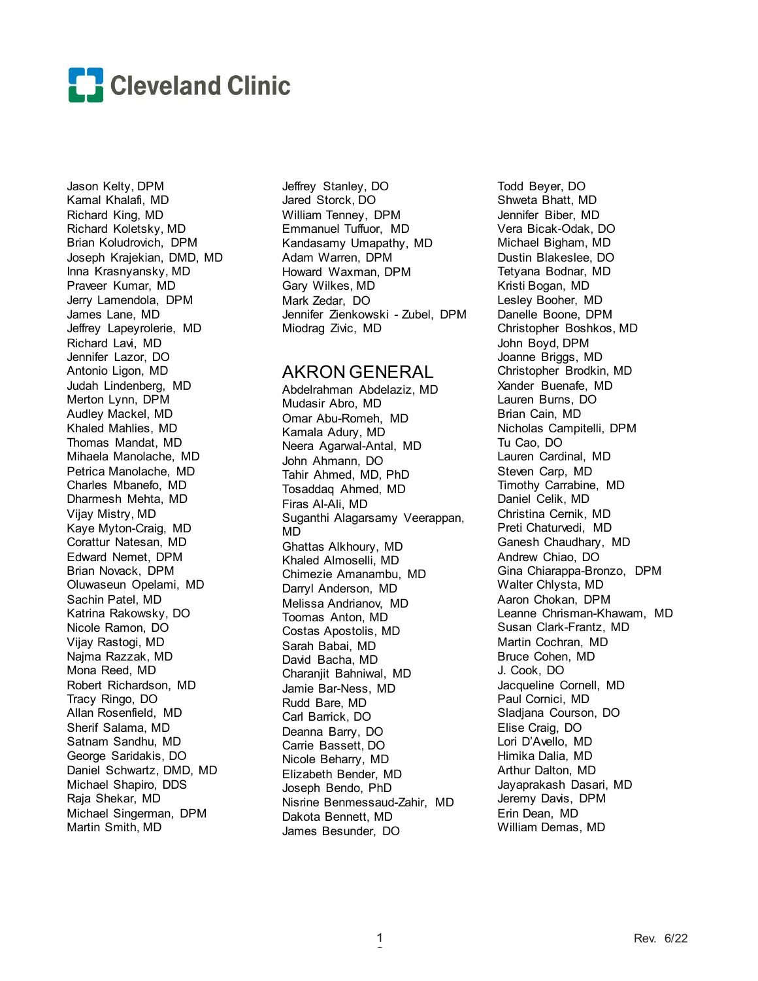

Jason Kelty, DPM Kamal Khalafi, MD Richard King, MD Richard Koletsky, MD Brian Koludrovich, DPM Joseph Krajekian, DMD, MD Inna Krasnyansky, MD Praveer Kumar, MD Jerry Lamendola, DPM James Lane, MD Jeffrey Lapeyrolerie, MD Richard Lavi, MD Jennifer Lazor, DO Antonio Ligon, MD Judah Lindenberg, MD Merton Lynn, DPM Audley Mackel, MD Khaled Mahlies, MD Thomas Mandat, MD Mihaela Manolache, MD Petrica Manolache, MD Charles Mbanefo, MD Dharmesh Mehta, MD Vijay Mistry, MD Kaye Myton-Craig, MD Corattur Natesan, MD Edward Nemet, DPM Brian Novack, DPM Oluwaseun Opelami, MD Sachin Patel, MD Katrina Rakowsky, DO Nicole Ramon, DO Vijay Rastogi, MD Najma Razzak, MD Mona Reed, MD Robert Richardson, MD Tracy Ringo, DO Allan Rosenfield, MD Sherif Salama, MD Satnam Sandhu, MD George Saridakis, DO Daniel Schwartz, DMD, MD Michael Shapiro, DDS Raja Shekar, MD Michael Singerman, DPM Martin Smith, MD

Jeffrey Stanley, DO Jared Storck, DO William Tenney, DPM Emmanuel Tuffuor, MD Kandasamy Umapathy, MD Adam Warren, DPM Howard Waxman, DPM Gary Wilkes, MD Mark Zedar, DO Jennifer Zienkowski - Zubel, DPM Miodrag Zivic, MD

## AKRON GENERAL

Abdelrahman Abdelaziz, MD Mudasir Abro, MD Omar Abu-Romeh, MD Kamala Adury, MD Neera Agarwal-Antal, MD John Ahmann, DO Tahir Ahmed, MD, PhD Tosaddaq Ahmed, MD Firas Al-Ali, MD Suganthi Alagarsamy Veerappan, MD Ghattas Alkhoury, MD Khaled Almoselli, MD Chimezie Amanambu, MD Darryl Anderson, MD Melissa Andrianov, MD Toomas Anton, MD Costas Apostolis, MD Sarah Babai, MD David Bacha, MD Charanjit Bahniwal, MD Jamie Bar-Ness, MD Rudd Bare, MD Carl Barrick, DO Deanna Barry, DO Carrie Bassett, DO Nicole Beharry, MD Elizabeth Bender, MD Joseph Bendo, PhD Nisrine Benmessaud-Zahir, MD Dakota Bennett, MD James Besunder, DO

Todd Beyer, DO Shweta Bhatt, MD Jennifer Biber, MD Vera Bicak-Odak, DO Michael Bigham, MD Dustin Blakeslee, DO Tetyana Bodnar, MD Kristi Bogan, MD Lesley Booher, MD Danelle Boone, DPM Christopher Boshkos, MD John Boyd, DPM Joanne Briggs, MD Christopher Brodkin, MD Xander Buenafe, MD Lauren Burns, DO Brian Cain, MD Nicholas Campitelli, DPM Tu Cao, DO Lauren Cardinal, MD Steven Carp, MD Timothy Carrabine, MD Daniel Celik, MD Christina Cernik, MD Preti Chaturvedi, MD Ganesh Chaudhary, MD Andrew Chiao, DO Gina Chiarappa-Bronzo, DPM Walter Chlysta, MD Aaron Chokan, DPM Leanne Chrisman-Khawam, MD Susan Clark-Frantz, MD Martin Cochran, MD Bruce Cohen, MD J. Cook, DO Jacqueline Cornell, MD Paul Cornici, MD Sladjana Courson, DO Elise Craig, DO Lori D'Avello, MD Himika Dalia, MD Arthur Dalton, MD Jayaprakash Dasari, MD Jeremy Davis, DPM Erin Dean, MD William Demas, MD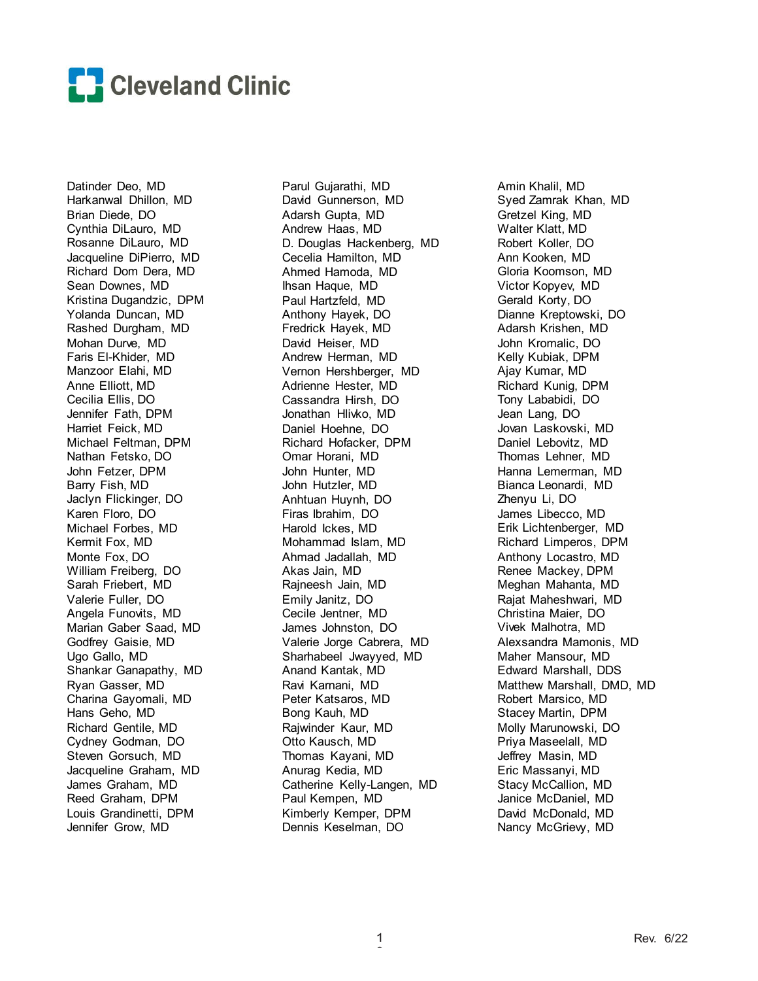

Datinder Deo, MD Harkanwal Dhillon, MD Brian Diede, DO Cynthia DiLauro, MD Rosanne DiLauro, MD Jacqueline DiPierro, MD Richard Dom Dera, MD Sean Downes, MD Kristina Dugandzic, DPM Yolanda Duncan, MD Rashed Durgham, MD Mohan Durve, MD Faris El-Khider, MD Manzoor Elahi, MD Anne Elliott, MD Cecilia Ellis, DO Jennifer Fath, DPM Harriet Feick, MD Michael Feltman, DPM Nathan Fetsko, DO John Fetzer, DPM Barry Fish, MD Jaclyn Flickinger, DO Karen Floro, DO Michael Forbes, MD Kermit Fox, MD Monte Fox, DO William Freiberg, DO Sarah Friebert, MD Valerie Fuller, DO Angela Funovits, MD Marian Gaber Saad, MD Godfrey Gaisie, MD Ugo Gallo, MD Shankar Ganapathy, MD Ryan Gasser, MD Charina Gayomali, MD Hans Geho, MD Richard Gentile, MD Cydney Godman, DO Steven Gorsuch, MD Jacqueline Graham, MD James Graham, MD Reed Graham, DPM Louis Grandinetti, DPM Jennifer Grow, MD

Parul Gujarathi, MD David Gunnerson, MD Adarsh Gupta, MD Andrew Haas, MD D. Douglas Hackenberg, MD Cecelia Hamilton, MD Ahmed Hamoda, MD Ihsan Haque, MD Paul Hartzfeld, MD Anthony Hayek, DO Fredrick Hayek, MD David Heiser, MD Andrew Herman, MD Vernon Hershberger, MD Adrienne Hester, MD Cassandra Hirsh, DO Jonathan Hlivko, MD Daniel Hoehne, DO Richard Hofacker, DPM Omar Horani, MD John Hunter, MD John Hutzler, MD Anhtuan Huynh, DO Firas Ibrahim, DO Harold Ickes, MD Mohammad Islam, MD Ahmad Jadallah, MD Akas Jain, MD Rajneesh Jain, MD Emily Janitz, DO Cecile Jentner, MD James Johnston, DO Valerie Jorge Cabrera, MD Sharhabeel Jwayyed, MD Anand Kantak, MD Ravi Karnani, MD Peter Katsaros, MD Bong Kauh, MD Rajwinder Kaur, MD Otto Kausch, MD Thomas Kayani, MD Anurag Kedia, MD Catherine Kelly-Langen, MD Paul Kempen, MD Kimberly Kemper, DPM Dennis Keselman, DO

Amin Khalil, MD Syed Zamrak Khan, MD Gretzel King, MD Walter Klatt, MD Robert Koller, DO Ann Kooken, MD Gloria Koomson, MD Victor Kopyev, MD Gerald Korty, DO Dianne Kreptowski, DO Adarsh Krishen, MD John Kromalic, DO Kelly Kubiak, DPM Ajay Kumar, MD Richard Kunig, DPM Tony Lababidi, DO Jean Lang, DO Jovan Laskovski, MD Daniel Lebovitz, MD Thomas Lehner, MD Hanna Lemerman, MD Bianca Leonardi, MD Zhenyu Li, DO James Libecco, MD Erik Lichtenberger, MD Richard Limperos, DPM Anthony Locastro, MD Renee Mackey, DPM Meghan Mahanta, MD Rajat Maheshwari, MD Christina Maier, DO Vivek Malhotra, MD Alexsandra Mamonis, MD Maher Mansour, MD Edward Marshall, DDS Matthew Marshall, DMD, MD Robert Marsico, MD Stacey Martin, DPM Molly Marunowski, DO Priya Maseelall, MD Jeffrey Masin, MD Eric Massanyi, MD Stacy McCallion, MD Janice McDaniel, MD David McDonald, MD Nancy McGriew, MD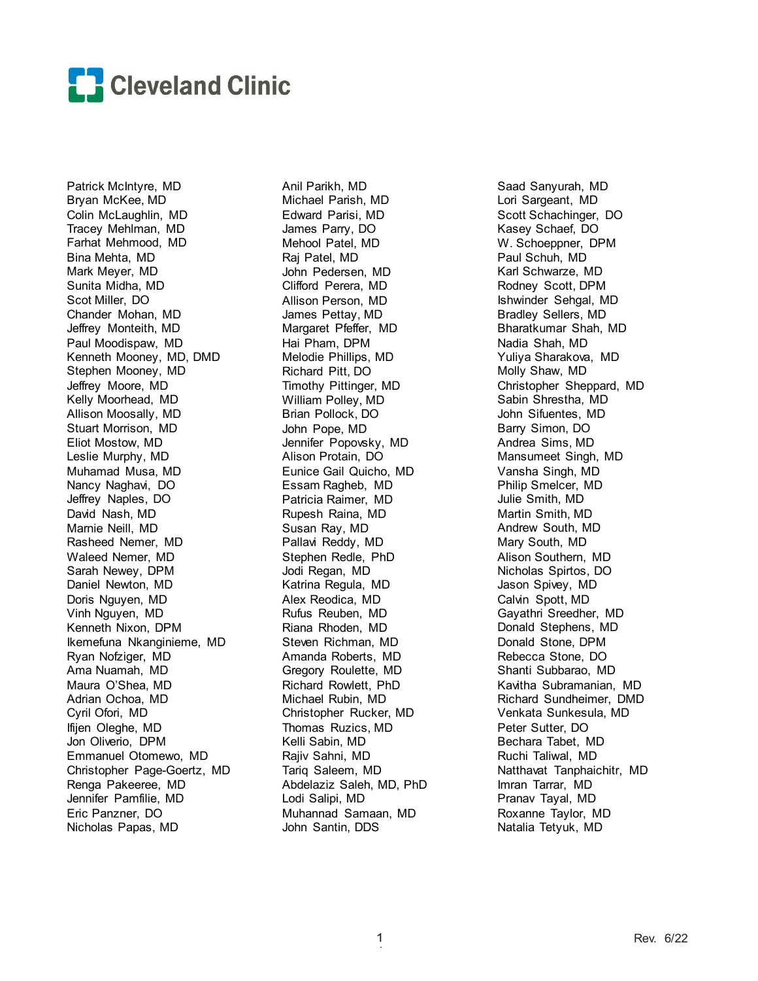

Patrick McIntyre, MD Bryan McKee, MD Colin McLaughlin, MD Tracey Mehlman, MD Farhat Mehmood, MD Bina Mehta, MD Mark Meyer, MD Sunita Midha, MD Scot Miller, DO Chander Mohan, MD Jeffrey Monteith, MD Paul Moodispaw, MD Kenneth Mooney, MD, DMD Stephen Mooney, MD Jeffrey Moore, MD Kelly Moorhead, MD Allison Moosally, MD Stuart Morrison, MD Eliot Mostow, MD Leslie Murphy, MD Muhamad Musa, MD Nancy Naghavi, DO Jeffrey Naples, DO David Nash, MD Marnie Neill, MD Rasheed Nemer, MD Waleed Nemer, MD Sarah Newey, DPM Daniel Newton, MD Doris Nguyen, MD Vinh Nguyen, MD Kenneth Nixon, DPM Ikemefuna Nkanginieme, MD Ryan Nofziger, MD Ama Nuamah, MD Maura O'Shea, MD Adrian Ochoa, MD Cyril Ofori, MD Ifijen Oleghe, MD Jon Oliverio, DPM Emmanuel Otomewo, MD Christopher Page-Goertz, MD Renga Pakeeree, MD Jennifer Pamfilie, MD Eric Panzner, DO Nicholas Papas, MD

Anil Parikh, MD Michael Parish, MD Edward Parisi, MD James Parry, DO Mehool Patel, MD Raj Patel, MD John Pedersen, MD Clifford Perera, MD Allison Person, MD James Pettay, MD Margaret Pfeffer, MD Hai Pham, DPM Melodie Phillips, MD Richard Pitt, DO Timothy Pittinger, MD William Polley, MD Brian Pollock, DO John Pope, MD Jennifer Popovsky, MD Alison Protain, DO Eunice Gail Quicho, MD Essam Ragheb, MD Patricia Raimer, MD Rupesh Raina, MD Susan Ray, MD Pallavi Reddy, MD Stephen Redle, PhD Jodi Regan, MD Katrina Regula, MD Alex Reodica, MD Rufus Reuben, MD Riana Rhoden, MD Steven Richman, MD Amanda Roberts, MD Gregory Roulette, MD Richard Rowlett, PhD Michael Rubin, MD Christopher Rucker, MD Thomas Ruzics, MD Kelli Sabin, MD Rajiv Sahni, MD Tariq Saleem, MD Abdelaziz Saleh, MD, PhD Lodi Salipi, MD Muhannad Samaan, MD John Santin, DDS

Saad Sanyurah, MD Lori Sargeant, MD Scott Schachinger, DO Kasey Schaef, DO W. Schoeppner, DPM Paul Schuh, MD Karl Schwarze, MD Rodney Scott, DPM Ishwinder Sehgal, MD Bradley Sellers, MD Bharatkumar Shah, MD Nadia Shah, MD Yuliya Sharakova, MD Molly Shaw, MD Christopher Sheppard, MD Sabin Shrestha, MD John Sifuentes, MD Barry Simon, DO Andrea Sims, MD Mansumeet Singh, MD Vansha Singh, MD Philip Smelcer, MD Julie Smith, MD Martin Smith, MD Andrew South, MD Mary South, MD Alison Southern, MD Nicholas Spirtos, DO Jason Spivey, MD Calvin Spott, MD Gayathri Sreedher, MD Donald Stephens, MD Donald Stone, DPM Rebecca Stone, DO Shanti Subbarao, MD Kavitha Subramanian, MD Richard Sundheimer, DMD Venkata Sunkesula, MD Peter Sutter, DO Bechara Tabet, MD Ruchi Taliwal, MD Natthavat Tanphaichitr, MD Imran Tarrar, MD Pranav Tayal, MD Roxanne Taylor, MD Natalia Tetyuk, MD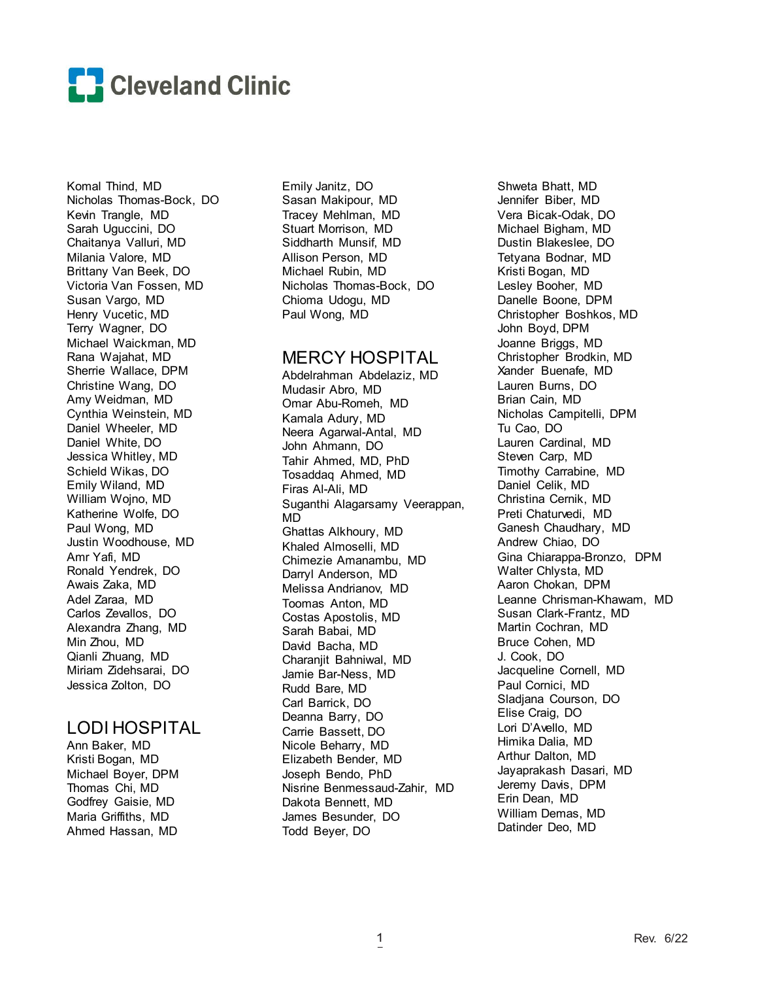

Komal Thind, MD Nicholas Thomas-Bock, DO Kevin Trangle, MD Sarah Uguccini, DO Chaitanya Valluri, MD Milania Valore, MD Brittany Van Beek, DO Victoria Van Fossen, MD Susan Vargo, MD Henry Vucetic, MD Terry Wagner, DO Michael Waickman, MD Rana Wajahat, MD Sherrie Wallace, DPM Christine Wang, DO Amy Weidman, MD Cynthia Weinstein, MD Daniel Wheeler, MD Daniel White, DO Jessica Whitley, MD Schield Wikas, DO Emily Wiland, MD William Wojno, MD Katherine Wolfe, DO Paul Wong, MD Justin Woodhouse, MD Amr Yafi, MD Ronald Yendrek, DO Awais Zaka, MD Adel Zaraa, MD Carlos Zevallos, DO Alexandra Zhang, MD Min Zhou, MD Qianli Zhuang, MD Miriam Zidehsarai, DO Jessica Zolton, DO

# LODI HOSPITAL

Ann Baker, MD Kristi Bogan, MD Michael Boyer, DPM Thomas Chi, MD Godfrey Gaisie, MD Maria Griffiths, MD Ahmed Hassan, MD

Emily Janitz, DO Sasan Makipour, MD Tracey Mehlman, MD Stuart Morrison, MD Siddharth Munsif, MD Allison Person, MD Michael Rubin, MD Nicholas Thomas-Bock, DO Chioma Udogu, MD Paul Wong, MD

## MERCY HOSPITAL

Abdelrahman Abdelaziz, MD Mudasir Abro, MD Omar Abu-Romeh, MD Kamala Adury, MD Neera Agarwal-Antal, MD John Ahmann, DO Tahir Ahmed, MD, PhD Tosaddaq Ahmed, MD Firas Al-Ali, MD Suganthi Alagarsamy Veerappan, MD Ghattas Alkhoury, MD Khaled Almoselli, MD Chimezie Amanambu, MD Darryl Anderson, MD Melissa Andrianov, MD Toomas Anton, MD Costas Apostolis, MD Sarah Babai, MD David Bacha, MD Charanjit Bahniwal, MD Jamie Bar-Ness, MD Rudd Bare, MD Carl Barrick, DO Deanna Barry, DO Carrie Bassett, DO Nicole Beharry, MD Elizabeth Bender, MD Joseph Bendo, PhD Nisrine Benmessaud-Zahir, MD Dakota Bennett, MD James Besunder, DO Todd Beyer, DO

Shweta Bhatt, MD Jennifer Biber, MD Vera Bicak-Odak, DO Michael Bigham, MD Dustin Blakeslee, DO Tetyana Bodnar, MD Kristi Bogan, MD Lesley Booher, MD Danelle Boone, DPM Christopher Boshkos, MD John Boyd, DPM Joanne Briggs, MD Christopher Brodkin, MD Xander Buenafe, MD Lauren Burns, DO Brian Cain, MD Nicholas Campitelli, DPM Tu Cao, DO Lauren Cardinal, MD Steven Carp, MD Timothy Carrabine, MD Daniel Celik, MD Christina Cernik, MD Preti Chaturvedi, MD Ganesh Chaudhary, MD Andrew Chiao, DO Gina Chiarappa-Bronzo, DPM Walter Chlysta, MD Aaron Chokan, DPM Leanne Chrisman-Khawam, MD Susan Clark-Frantz, MD Martin Cochran, MD Bruce Cohen, MD J. Cook, DO Jacqueline Cornell, MD Paul Cornici, MD Sladjana Courson, DO Elise Craig, DO Lori D'Avello, MD Himika Dalia, MD Arthur Dalton, MD Jayaprakash Dasari, MD Jeremy Davis, DPM Erin Dean, MD William Demas, MD Datinder Deo, MD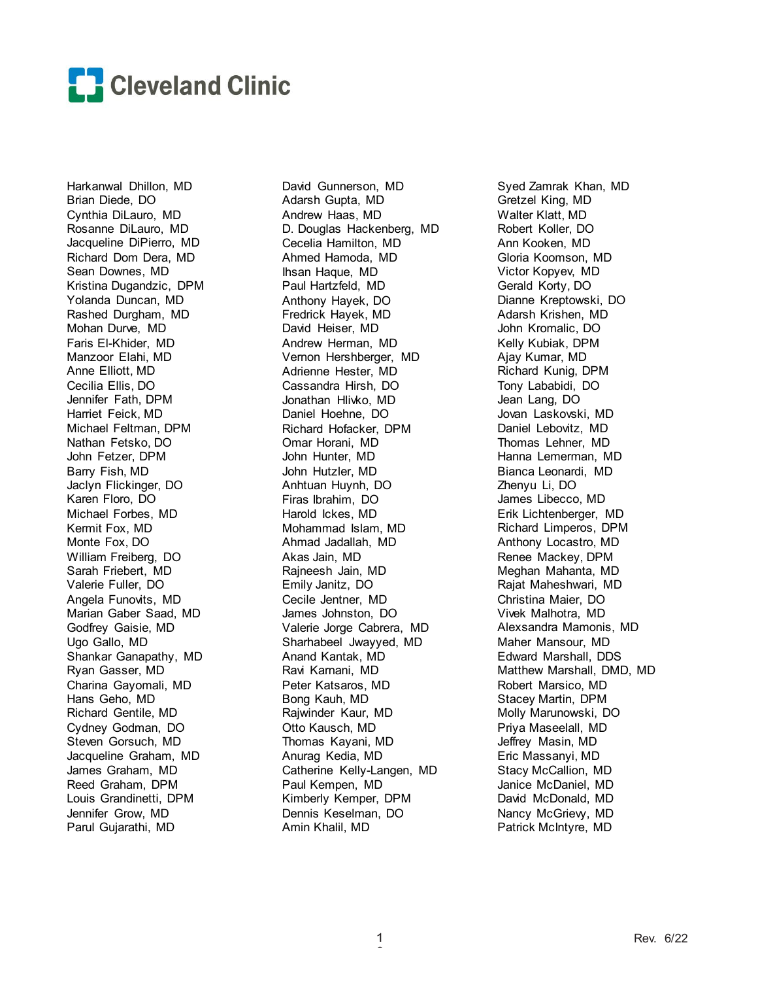

Harkanwal Dhillon, MD Brian Diede, DO Cynthia DiLauro, MD Rosanne DiLauro, MD Jacqueline DiPierro, MD Richard Dom Dera, MD Sean Downes, MD Kristina Dugandzic, DPM Yolanda Duncan, MD Rashed Durgham, MD Mohan Durve, MD Faris El-Khider, MD Manzoor Elahi, MD Anne Elliott, MD Cecilia Ellis, DO Jennifer Fath, DPM Harriet Feick, MD Michael Feltman, DPM Nathan Fetsko, DO John Fetzer, DPM Barry Fish, MD Jaclyn Flickinger, DO Karen Floro, DO Michael Forbes, MD Kermit Fox, MD Monte Fox, DO William Freiberg, DO Sarah Friebert, MD Valerie Fuller, DO Angela Funovits, MD Marian Gaber Saad, MD Godfrey Gaisie, MD Ugo Gallo, MD Shankar Ganapathy, MD Ryan Gasser, MD Charina Gayomali, MD Hans Geho, MD Richard Gentile, MD Cydney Godman, DO Steven Gorsuch, MD Jacqueline Graham, MD James Graham, MD Reed Graham, DPM Louis Grandinetti, DPM Jennifer Grow, MD Parul Gujarathi, MD

David Gunnerson, MD Adarsh Gupta, MD Andrew Haas, MD D. Douglas Hackenberg, MD Cecelia Hamilton, MD Ahmed Hamoda, MD Ihsan Haque, MD Paul Hartzfeld, MD Anthony Hayek, DO Fredrick Hayek, MD David Heiser, MD Andrew Herman, MD Vernon Hershberger, MD Adrienne Hester, MD Cassandra Hirsh, DO Jonathan Hlivko, MD Daniel Hoehne, DO Richard Hofacker, DPM Omar Horani, MD John Hunter, MD John Hutzler, MD Anhtuan Huynh, DO Firas Ibrahim, DO Harold Ickes, MD Mohammad Islam, MD Ahmad Jadallah, MD Akas Jain, MD Rajneesh Jain, MD Emily Janitz, DO Cecile Jentner, MD James Johnston, DO Valerie Jorge Cabrera, MD Sharhabeel Jwayyed, MD Anand Kantak, MD Ravi Karnani, MD Peter Katsaros, MD Bong Kauh, MD Rajwinder Kaur, MD Otto Kausch, MD Thomas Kayani, MD Anurag Kedia, MD Catherine Kelly-Langen, MD Paul Kempen, MD Kimberly Kemper, DPM Dennis Keselman, DO Amin Khalil, MD

Syed Zamrak Khan, MD Gretzel King, MD Walter Klatt, MD Robert Koller, DO Ann Kooken, MD Gloria Koomson, MD Victor Kopyev, MD Gerald Korty, DO Dianne Kreptowski, DO Adarsh Krishen, MD John Kromalic, DO Kelly Kubiak, DPM Ajay Kumar, MD Richard Kunig, DPM Tony Lababidi, DO Jean Lang, DO Jovan Laskovski, MD Daniel Lebovitz, MD Thomas Lehner, MD Hanna Lemerman, MD Bianca Leonardi, MD Zhenyu Li, DO James Libecco, MD Erik Lichtenberger, MD Richard Limperos, DPM Anthony Locastro, MD Renee Mackey, DPM Meghan Mahanta, MD Rajat Maheshwari, MD Christina Maier, DO Vivek Malhotra, MD Alexsandra Mamonis, MD Maher Mansour, MD Edward Marshall, DDS Matthew Marshall, DMD, MD Robert Marsico, MD Stacey Martin, DPM Molly Marunowski, DO Priya Maseelall, MD Jeffrey Masin, MD Eric Massanyi, MD Stacy McCallion, MD Janice McDaniel, MD David McDonald, MD Nancy McGriew, MD Patrick McIntyre, MD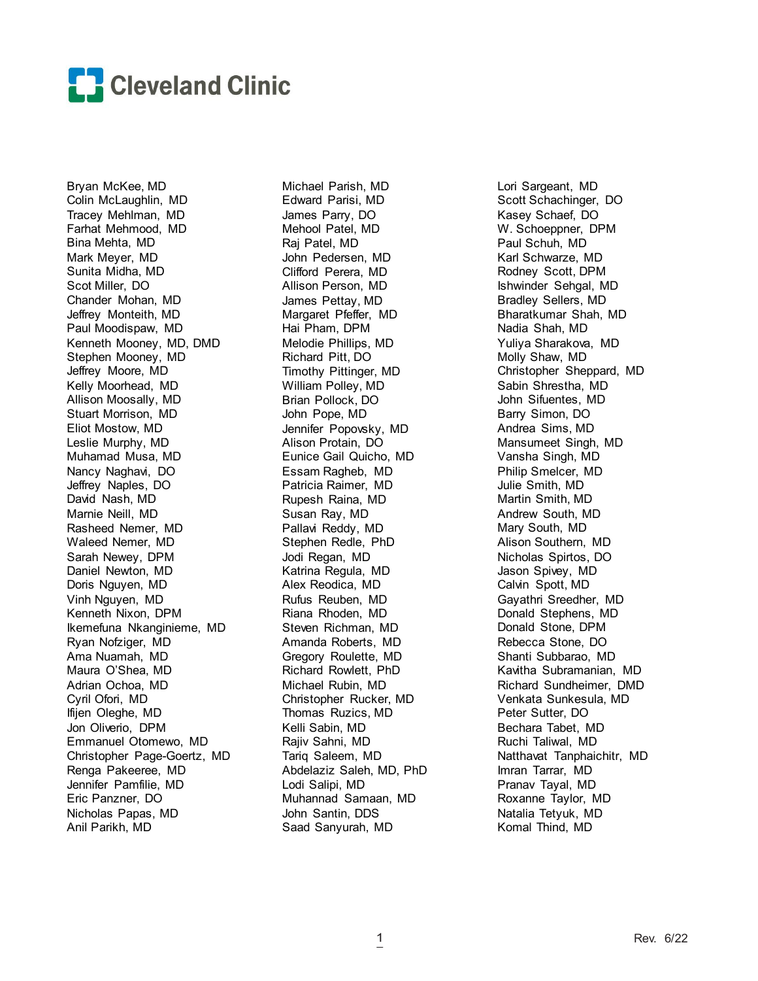

Bryan McKee, MD Colin McLaughlin, MD Tracey Mehlman, MD Farhat Mehmood, MD Bina Mehta, MD Mark Meyer, MD Sunita Midha, MD Scot Miller, DO Chander Mohan, MD Jeffrey Monteith, MD Paul Moodispaw, MD Kenneth Mooney, MD, DMD Stephen Mooney, MD Jeffrey Moore, MD Kelly Moorhead, MD Allison Moosally, MD Stuart Morrison, MD Eliot Mostow, MD Leslie Murphy, MD Muhamad Musa, MD Nancy Naghavi, DO Jeffrey Naples, DO David Nash, MD Marnie Neill, MD Rasheed Nemer, MD Waleed Nemer, MD Sarah Newey, DPM Daniel Newton, MD Doris Nguyen, MD Vinh Nguyen, MD Kenneth Nixon, DPM Ikemefuna Nkanginieme, MD Ryan Nofziger, MD Ama Nuamah, MD Maura O'Shea, MD Adrian Ochoa, MD Cyril Ofori, MD Ifijen Oleghe, MD Jon Oliverio, DPM Emmanuel Otomewo, MD Christopher Page-Goertz, MD Renga Pakeeree, MD Jennifer Pamfilie, MD Eric Panzner, DO Nicholas Papas, MD Anil Parikh, MD

Michael Parish, MD Edward Parisi, MD James Parry, DO Mehool Patel, MD Raj Patel, MD John Pedersen, MD Clifford Perera, MD Allison Person, MD James Pettay, MD Margaret Pfeffer, MD Hai Pham, DPM Melodie Phillips, MD Richard Pitt, DO Timothy Pittinger, MD William Polley, MD Brian Pollock, DO John Pope, MD Jennifer Popovsky, MD Alison Protain, DO Eunice Gail Quicho, MD Essam Ragheb, MD Patricia Raimer, MD Rupesh Raina, MD Susan Ray, MD Pallavi Reddy, MD Stephen Redle, PhD Jodi Regan, MD Katrina Regula, MD Alex Reodica, MD Rufus Reuben, MD Riana Rhoden, MD Steven Richman, MD Amanda Roberts, MD Gregory Roulette, MD Richard Rowlett, PhD Michael Rubin, MD Christopher Rucker, MD Thomas Ruzics, MD Kelli Sabin, MD Rajiv Sahni, MD Tariq Saleem, MD Abdelaziz Saleh, MD, PhD Lodi Salipi, MD Muhannad Samaan, MD John Santin, DDS Saad Sanyurah, MD

Lori Sargeant, MD Scott Schachinger, DO Kasey Schaef, DO W. Schoeppner, DPM Paul Schuh, MD Karl Schwarze, MD Rodney Scott, DPM Ishwinder Sehgal, MD Bradley Sellers, MD Bharatkumar Shah, MD Nadia Shah, MD Yuliya Sharakova, MD Molly Shaw, MD Christopher Sheppard, MD Sabin Shrestha, MD John Sifuentes, MD Barry Simon, DO Andrea Sims, MD Mansumeet Singh, MD Vansha Singh, MD Philip Smelcer, MD Julie Smith, MD Martin Smith, MD Andrew South, MD Mary South, MD Alison Southern, MD Nicholas Spirtos, DO Jason Spivey, MD Calvin Spott, MD Gayathri Sreedher, MD Donald Stephens, MD Donald Stone, DPM Rebecca Stone, DO Shanti Subbarao, MD Kavitha Subramanian, MD Richard Sundheimer, DMD Venkata Sunkesula, MD Peter Sutter, DO Bechara Tabet, MD Ruchi Taliwal, MD Natthavat Tanphaichitr, MD Imran Tarrar, MD Pranav Tayal, MD Roxanne Taylor, MD Natalia Tetyuk, MD Komal Thind, MD